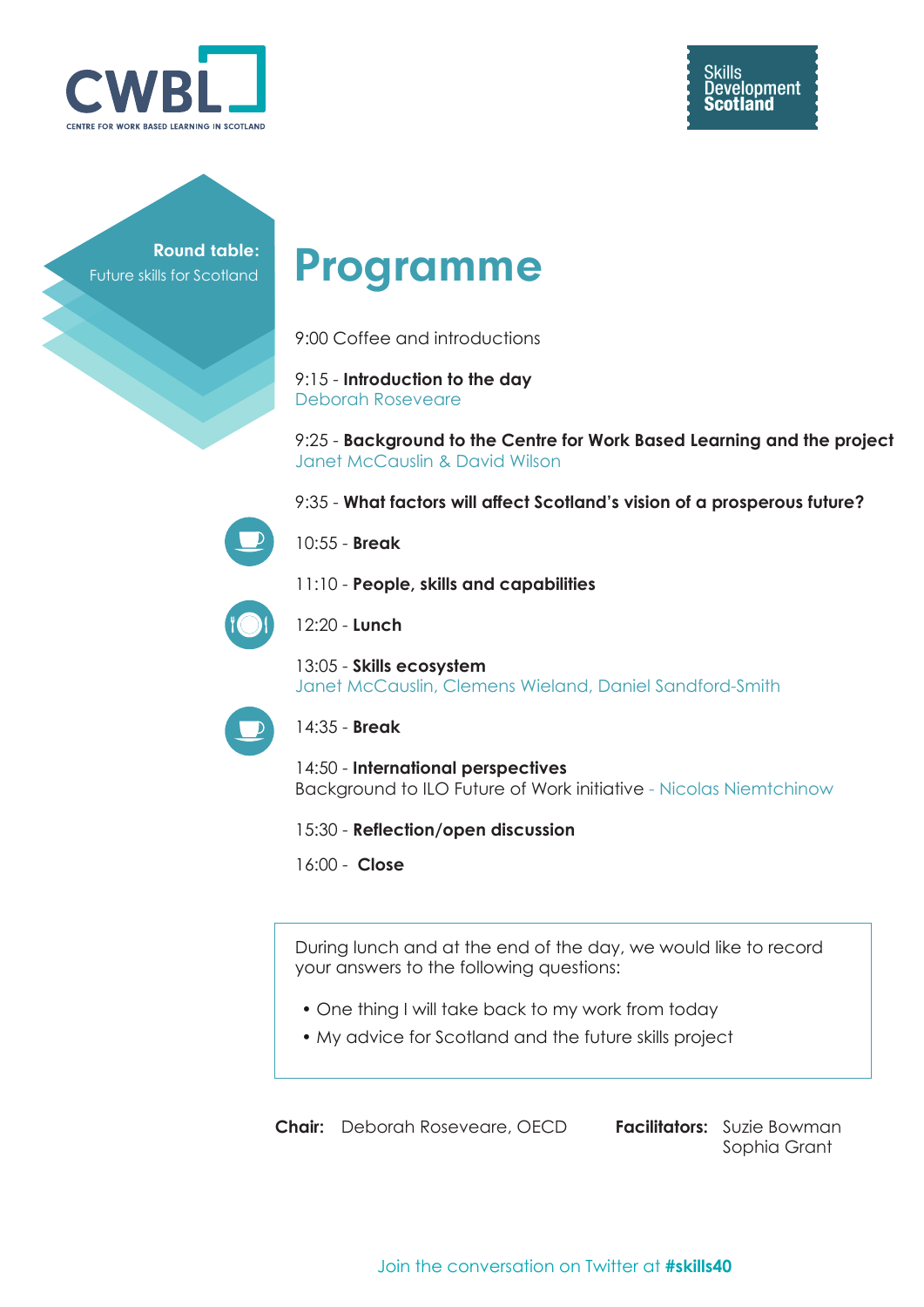

Round table:

## Future skills for Scotland **Programme**

9:00 Coffee and introductions

9:15 - **Introduction to the day** Deborah Roseveare

9:25 - **Background to the Centre for Work Based Learning and the project**  Janet McCauslin & David Wilson

9:35 - **What factors will affect Scotland's vision of a prosperous future?**



10:55 - **Break**

11:10 - **People, skills and capabilities**



12:20 - **Lunch**

13:05 - **Skills ecosystem** Janet McCauslin, Clemens Wieland, Daniel Sandford-Smith



14:35 - **Break**

14:50 - **International perspectives** Background to ILO Future of Work initiative - Nicolas Niemtchinow

15:30 - **Reflection/open discussion**

16:00 - **Close**

During lunch and at the end of the day, we would like to record your answers to the following questions:

- One thing I will take back to my work from today
- My advice for Scotland and the future skills project



Join the conversation on Twitter at **#skills40**